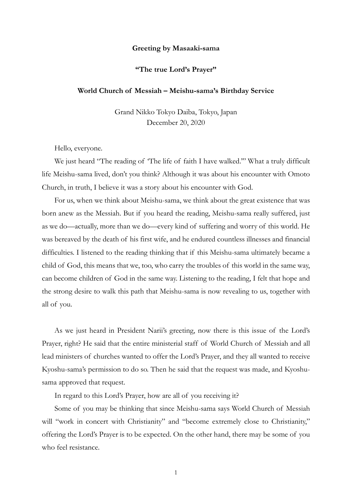## **Greeting by Masaaki-sama**

## **"The true Lord's Prayer"**

## **World Church of Messiah – Meishu-sama's Birthday Service**

Grand Nikko Tokyo Daiba, Tokyo, Japan December 20, 2020

Hello, everyone.

We just heard "The reading of 'The life of faith I have walked.'" What a truly difficult life Meishu-sama lived, don't you think? Although it was about his encounter with Omoto Church, in truth, I believe it was a story about his encounter with God.

For us, when we think about Meishu-sama, we think about the great existence that was born anew as the Messiah. But if you heard the reading, Meishu-sama really suffered, just as we do—actually, more than we do—every kind of suffering and worry of this world. He was bereaved by the death of his first wife, and he endured countless illnesses and financial difficulties. I listened to the reading thinking that if this Meishu-sama ultimately became a child of God, this means that we, too, who carry the troubles of this world in the same way, can become children of God in the same way. Listening to the reading, I felt that hope and the strong desire to walk this path that Meishu-sama is now revealing to us, together with all of you.

As we just heard in President Narii's greeting, now there is this issue of the Lord's Prayer, right? He said that the entire ministerial staff of World Church of Messiah and all lead ministers of churches wanted to offer the Lord's Prayer, and they all wanted to receive Kyoshu-sama's permission to do so. Then he said that the request was made, and Kyoshusama approved that request.

In regard to this Lord's Prayer, how are all of you receiving it?

Some of you may be thinking that since Meishu-sama says World Church of Messiah will "work in concert with Christianity" and "become extremely close to Christianity," offering the Lord's Prayer is to be expected. On the other hand, there may be some of you who feel resistance.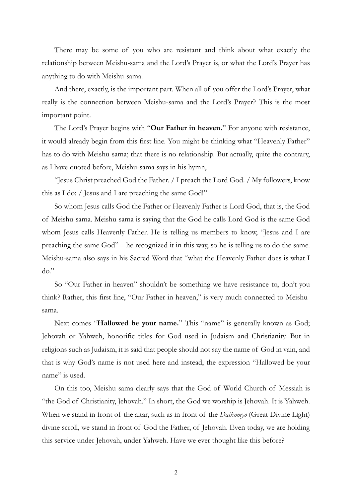There may be some of you who are resistant and think about what exactly the relationship between Meishu-sama and the Lord's Prayer is, or what the Lord's Prayer has anything to do with Meishu-sama.

And there, exactly, is the important part. When all of you offer the Lord's Prayer, what really is the connection between Meishu-sama and the Lord's Prayer? This is the most important point.

The Lord's Prayer begins with "**Our Father in heaven.**" For anyone with resistance, it would already begin from this first line. You might be thinking what "Heavenly Father" has to do with Meishu-sama; that there is no relationship. But actually, quite the contrary, as I have quoted before, Meishu-sama says in his hymn,

"Jesus Christ preached God the Father. / I preach the Lord God. / My followers, know this as I do: / Jesus and I are preaching the same God!"

So whom Jesus calls God the Father or Heavenly Father is Lord God, that is, the God of Meishu-sama. Meishu-sama is saying that the God he calls Lord God is the same God whom Jesus calls Heavenly Father. He is telling us members to know, "Jesus and I are preaching the same God"—he recognized it in this way, so he is telling us to do the same. Meishu-sama also says in his Sacred Word that "what the Heavenly Father does is what I  $do.$ "

So "Our Father in heaven" shouldn't be something we have resistance to, don't you think? Rather, this first line, "Our Father in heaven," is very much connected to Meishusama.

Next comes "**Hallowed be your name.**" This "name" is generally known as God; Jehovah or Yahweh, honorific titles for God used in Judaism and Christianity. But in religions such as Judaism, it is said that people should not say the name of God in vain, and that is why God's name is not used here and instead, the expression "Hallowed be your name" is used.

On this too, Meishu-sama clearly says that the God of World Church of Messiah is "the God of Christianity, Jehovah." In short, the God we worship is Jehovah. It is Yahweh. When we stand in front of the altar, such as in front of the *Daikomyo* (Great Divine Light) divine scroll, we stand in front of God the Father, of Jehovah. Even today, we are holding this service under Jehovah, under Yahweh. Have we ever thought like this before?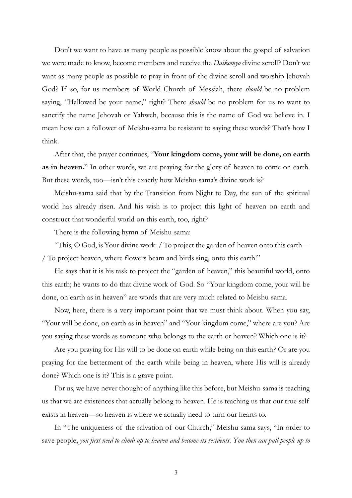Don't we want to have as many people as possible know about the gospel of salvation we were made to know, become members and receive the *Daikomyo* divine scroll? Don't we want as many people as possible to pray in front of the divine scroll and worship Jehovah God? If so, for us members of World Church of Messiah, there *should* be no problem saying, "Hallowed be your name," right? There *should* be no problem for us to want to sanctify the name Jehovah or Yahweh, because this is the name of God we believe in. I mean how can a follower of Meishu-sama be resistant to saying these words? That's how I think.

After that, the prayer continues, "**Your kingdom come, your will be done, on earth as in heaven.**" In other words, we are praying for the glory of heaven to come on earth. But these words, too—isn't this exactly how Meishu-sama's divine work is?

Meishu-sama said that by the Transition from Night to Day, the sun of the spiritual world has already risen. And his wish is to project this light of heaven on earth and construct that wonderful world on this earth, too, right?

There is the following hymn of Meishu-sama:

"This, O God, is Your divine work: / To project the garden of heaven onto this earth— / To project heaven, where flowers beam and birds sing, onto this earth!"

He says that it is his task to project the "garden of heaven," this beautiful world, onto this earth; he wants to do that divine work of God. So "Your kingdom come, your will be done, on earth as in heaven" are words that are very much related to Meishu-sama.

Now, here, there is a very important point that we must think about. When you say, "Your will be done, on earth as in heaven" and "Your kingdom come," where are you? Are you saying these words as someone who belongs to the earth or heaven? Which one is it?

Are you praying for His will to be done on earth while being on this earth? Or are you praying for the betterment of the earth while being in heaven, where His will is already done? Which one is it? This is a grave point.

For us, we have never thought of anything like this before, but Meishu-sama is teaching us that we are existences that actually belong to heaven. He is teaching us that our true self exists in heaven—so heaven is where we actually need to turn our hearts to.

In "The uniqueness of the salvation of our Church," Meishu-sama says, "In order to save people, *you first need to climb up to heaven and become its residents*. *You then can pull people up to*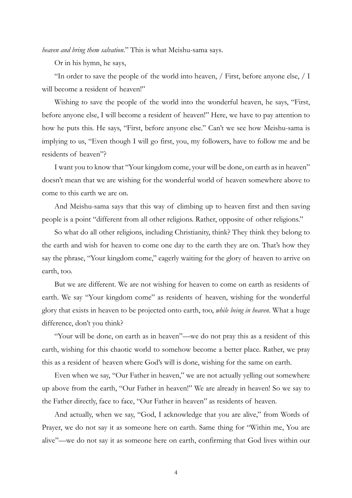*heaven and bring them salvation*." This is what Meishu-sama says.

Or in his hymn, he says,

"In order to save the people of the world into heaven, / First, before anyone else, / I will become a resident of heaven!"

Wishing to save the people of the world into the wonderful heaven, he says, "First, before anyone else, I will become a resident of heaven!" Here, we have to pay attention to how he puts this. He says, "First, before anyone else." Can't we see how Meishu-sama is implying to us, "Even though I will go first, you, my followers, have to follow me and be residents of heaven"?

I want you to know that "Your kingdom come, your will be done, on earth as in heaven" doesn't mean that we are wishing for the wonderful world of heaven somewhere above to come to this earth we are on.

And Meishu-sama says that this way of climbing up to heaven first and then saving people is a point "different from all other religions. Rather, opposite of other religions."

So what do all other religions, including Christianity, think? They think they belong to the earth and wish for heaven to come one day to the earth they are on. That's how they say the phrase, "Your kingdom come," eagerly waiting for the glory of heaven to arrive on earth, too.

But we are different. We are not wishing for heaven to come on earth as residents of earth. We say "Your kingdom come" as residents of heaven, wishing for the wonderful glory that exists in heaven to be projected onto earth, too, *while being in heaven*. What a huge difference, don't you think?

"Your will be done, on earth as in heaven"—we do not pray this as a resident of this earth, wishing for this chaotic world to somehow become a better place. Rather, we pray this as a resident of heaven where God's will is done, wishing for the same on earth.

Even when we say, "Our Father in heaven," we are not actually yelling out somewhere up above from the earth, "Our Father in heaven!" We are already in heaven! So we say to the Father directly, face to face, "Our Father in heaven" as residents of heaven.

And actually, when we say, "God, I acknowledge that you are alive," from Words of Prayer, we do not say it as someone here on earth. Same thing for "Within me, You are alive"—we do not say it as someone here on earth, confirming that God lives within our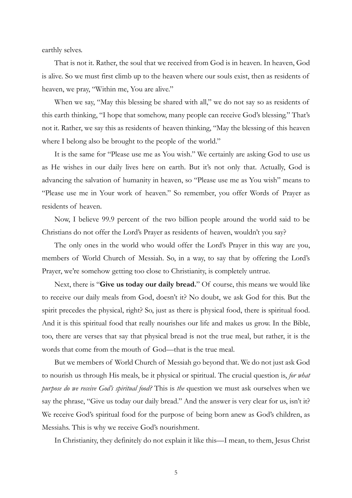earthly selves.

That is not it. Rather, the soul that we received from God is in heaven. In heaven, God is alive. So we must first climb up to the heaven where our souls exist, then as residents of heaven, we pray, "Within me, You are alive."

When we say, "May this blessing be shared with all," we do not say so as residents of this earth thinking, "I hope that somehow, many people can receive God's blessing." That's not it. Rather, we say this as residents of heaven thinking, "May the blessing of this heaven where I belong also be brought to the people of the world."

It is the same for "Please use me as You wish." We certainly are asking God to use us as He wishes in our daily lives here on earth. But it's not only that. Actually, God is advancing the salvation of humanity in heaven, so "Please use me as You wish" means to "Please use me in Your work of heaven." So remember, you offer Words of Prayer as residents of heaven.

Now, I believe 99.9 percent of the two billion people around the world said to be Christians do not offer the Lord's Prayer as residents of heaven, wouldn't you say?

The only ones in the world who would offer the Lord's Prayer in this way are you, members of World Church of Messiah. So, in a way, to say that by offering the Lord's Prayer, we're somehow getting too close to Christianity, is completely untrue.

Next, there is "**Give us today our daily bread.**" Of course, this means we would like to receive our daily meals from God, doesn't it? No doubt, we ask God for this. But the spirit precedes the physical, right? So, just as there is physical food, there is spiritual food. And it is this spiritual food that really nourishes our life and makes us grow. In the Bible, too, there are verses that say that physical bread is not the true meal, but rather, it is the words that come from the mouth of God—that is the true meal.

But we members of World Church of Messiah go beyond that. We do not just ask God to nourish us through His meals, be it physical or spiritual. The crucial question is, *for what purpose do we receive God's spiritual food?* This is *the* question we must ask ourselves when we say the phrase, "Give us today our daily bread." And the answer is very clear for us, isn't it? We receive God's spiritual food for the purpose of being born anew as God's children, as Messiahs. This is why we receive God's nourishment.

In Christianity, they definitely do not explain it like this—I mean, to them, Jesus Christ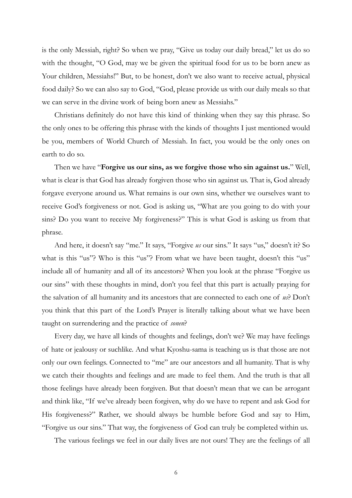is the only Messiah, right? So when we pray, "Give us today our daily bread," let us do so with the thought, "O God, may we be given the spiritual food for us to be born anew as Your children, Messiahs!" But, to be honest, don't we also want to receive actual, physical food daily? So we can also say to God, "God, please provide us with our daily meals so that we can serve in the divine work of being born anew as Messiahs."

Christians definitely do not have this kind of thinking when they say this phrase. So the only ones to be offering this phrase with the kinds of thoughts I just mentioned would be you, members of World Church of Messiah. In fact, you would be the only ones on earth to do so.

Then we have "**Forgive us our sins, as we forgive those who sin against us.**" Well, what is clear is that God has already forgiven those who sin against us. That is, God already forgave everyone around us. What remains is our own sins, whether we ourselves want to receive God's forgiveness or not. God is asking us, "What are you going to do with your sins? Do you want to receive My forgiveness?" This is what God is asking us from that phrase.

And here, it doesn't say "me." It says, "Forgive *us* our sins." It says "us," doesn't it? So what is this "us"? Who is this "us"? From what we have been taught, doesn't this "us" include all of humanity and all of its ancestors? When you look at the phrase "Forgive us our sins" with these thoughts in mind, don't you feel that this part is actually praying for the salvation of all humanity and its ancestors that are connected to each one of *us*? Don't you think that this part of the Lord's Prayer is literally talking about what we have been taught on surrendering and the practice of *sonen*?

Every day, we have all kinds of thoughts and feelings, don't we? We may have feelings of hate or jealousy or suchlike. And what Kyoshu-sama is teaching us is that those are not only our own feelings. Connected to "me" are our ancestors and all humanity. That is why we catch their thoughts and feelings and are made to feel them. And the truth is that all those feelings have already been forgiven. But that doesn't mean that we can be arrogant and think like, "If we've already been forgiven, why do we have to repent and ask God for His forgiveness?" Rather, we should always be humble before God and say to Him, "Forgive us our sins." That way, the forgiveness of God can truly be completed within us.

The various feelings we feel in our daily lives are not ours! They are the feelings of all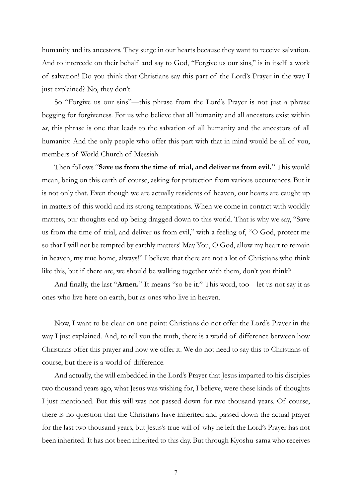humanity and its ancestors. They surge in our hearts because they want to receive salvation. And to intercede on their behalf and say to God, "Forgive us our sins," is in itself a work of salvation! Do you think that Christians say this part of the Lord's Prayer in the way I just explained? No, they don't.

So "Forgive us our sins"—this phrase from the Lord's Prayer is not just a phrase begging for forgiveness. For us who believe that all humanity and all ancestors exist within *us*, this phrase is one that leads to the salvation of all humanity and the ancestors of all humanity. And the only people who offer this part with that in mind would be all of you, members of World Church of Messiah.

Then follows "**Save us from the time of trial, and deliver us from evil.**" This would mean, being on this earth of course, asking for protection from various occurrences. But it is not only that. Even though we are actually residents of heaven, our hearts are caught up in matters of this world and its strong temptations. When we come in contact with worldly matters, our thoughts end up being dragged down to this world. That is why we say, "Save us from the time of trial, and deliver us from evil," with a feeling of, "O God, protect me so that I will not be tempted by earthly matters! May You, O God, allow my heart to remain in heaven, my true home, always!" I believe that there are not a lot of Christians who think like this, but if there are, we should be walking together with them, don't you think?

And finally, the last "**Amen.**" It means "so be it." This word, too—let us not say it as ones who live here on earth, but as ones who live in heaven.

Now, I want to be clear on one point: Christians do not offer the Lord's Prayer in the way I just explained. And, to tell you the truth, there is a world of difference between how Christians offer this prayer and how we offer it. We do not need to say this to Christians of course, but there is a world of difference.

And actually, the will embedded in the Lord's Prayer that Jesus imparted to his disciples two thousand years ago, what Jesus was wishing for, I believe, were these kinds of thoughts I just mentioned. But this will was not passed down for two thousand years. Of course, there is no question that the Christians have inherited and passed down the actual prayer for the last two thousand years, but Jesus's true will of why he left the Lord's Prayer has not been inherited. It has not been inherited to this day. But through Kyoshu-sama who receives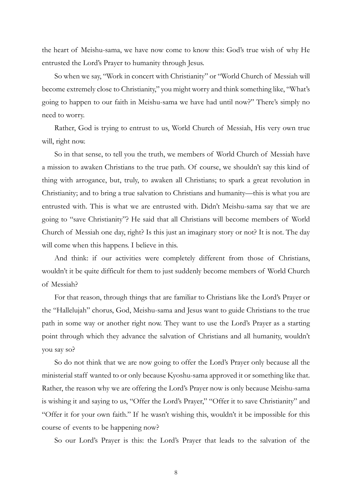the heart of Meishu-sama, we have now come to know this: God's true wish of why He entrusted the Lord's Prayer to humanity through Jesus.

So when we say, "Work in concert with Christianity" or "World Church of Messiah will become extremely close to Christianity," you might worry and think something like, "What's going to happen to our faith in Meishu-sama we have had until now?" There's simply no need to worry.

Rather, God is trying to entrust to us, World Church of Messiah, His very own true will, right now.

So in that sense, to tell you the truth, we members of World Church of Messiah have a mission to awaken Christians to the true path. Of course, we shouldn't say this kind of thing with arrogance, but, truly, to awaken all Christians; to spark a great revolution in Christianity; and to bring a true salvation to Christians and humanity—this is what you are entrusted with. This is what we are entrusted with. Didn't Meishu-sama say that we are going to "save Christianity"? He said that all Christians will become members of World Church of Messiah one day, right? Is this just an imaginary story or not? It is not. The day will come when this happens. I believe in this.

And think: if our activities were completely different from those of Christians, wouldn't it be quite difficult for them to just suddenly become members of World Church of Messiah?

For that reason, through things that are familiar to Christians like the Lord's Prayer or the "Hallelujah" chorus, God, Meishu-sama and Jesus want to guide Christians to the true path in some way or another right now. They want to use the Lord's Prayer as a starting point through which they advance the salvation of Christians and all humanity, wouldn't you say so?

So do not think that we are now going to offer the Lord's Prayer only because all the ministerial staff wanted to or only because Kyoshu-sama approved it or something like that. Rather, the reason why we are offering the Lord's Prayer now is only because Meishu-sama is wishing it and saying to us, "Offer the Lord's Prayer," "Offer it to save Christianity" and "Offer it for your own faith." If he wasn't wishing this, wouldn't it be impossible for this course of events to be happening now?

So our Lord's Prayer is this: the Lord's Prayer that leads to the salvation of the